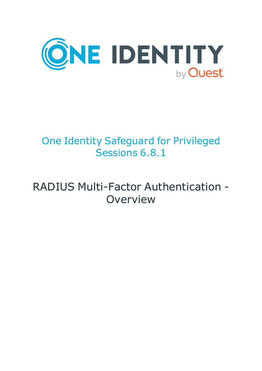

# One Identity Safeguard for Privileged Sessions 6.8.1

# RADIUS Multi-Factor Authentication - **Overview**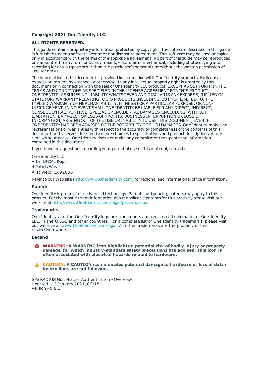#### **Copyright 2021 One Identity LLC.**

#### **ALL RIGHTS RESERVED.**

This guide contains proprietary information protected by copyright. The software described in this guide is furnished under a software license or nondisclosure agreement. This software may be used or copied only in accordance with the terms of the applicable agreement. No part of this guide may be reproduced or transmitted in any form or by any means, electronic or mechanical, including photocopying and recording for any purpose other than the purchaser's personal use without the written permission of One Identity LLC .

The information in this document is provided in connection with One Identity products. No license, express or implied, by estoppel or otherwise, to any intellectual property right is granted by this document or in connection with the sale of One Identity LLC products. EXCEPT AS SET FORTH IN THE TERMS AND CONDITIONS AS SPECIFIED IN THE LICENSE AGREEMENT FOR THIS PRODUCT, ONE IDENTITY ASSUMES NO LIABILITY WHATSOEVER AND DISCLAIMS ANY EXPRESS, IMPLIED OR STATUTORY WARRANTY RELATING TO ITS PRODUCTS INCLUDING, BUT NOT LIMITED TO, THE IMPLIED WARRANTY OF MERCHANTABILITY, FITNESS FOR A PARTICULAR PURPOSE, OR NON-INFRINGEMENT. IN NO EVENT SHALL ONE IDENTITY BE LIABLE FOR ANY DIRECT, INDIRECT, CONSEQUENTIAL, PUNITIVE, SPECIAL OR INCIDENTAL DAMAGES (INCLUDING, WITHOUT LIMITATION, DAMAGES FOR LOSS OF PROFITS, BUSINESS INTERRUPTION OR LOSS OF INFORMATION) ARISING OUT OF THE USE OR INABILITY TO USE THIS DOCUMENT, EVEN IF ONE IDENTITY HAS BEEN ADVISED OF THE POSSIBILITY OF SUCH DAMAGES. One Identity makes no representations or warranties with respect to the accuracy or completeness of the contents of this document and reserves the right to make changes to specifications and product descriptions at any time without notice. One Identity does not make any commitment to update the information contained in this document.

If you have any questions regarding your potential use of this material, contact:

One Identity LLC. Attn: LEGAL Dept 4 Polaris Way Aliso Viejo, CA 92656

Refer to our Web site ([http://www.OneIdentity.com](http://www.oneidentity.com/)) for regional and international office information.

#### **Patents**

One Identity is proud of our advanced technology. Patents and pending patents may apply to this product. For the most current information about applicable patents for this product, please visit our website at [http://www.OneIdentity.com/legal/patents.aspx](http://www.oneidentity.com/legal/patents.aspx).

#### **Trademarks**

One Identity and the One Identity logo are trademarks and registered trademarks of One Identity LLC. in the U.S.A. and other countries. For a complete list of One Identity trademarks, please visit our website at [www.OneIdentity.com/legal](http://www.oneidentity.com/legal). All other trademarks are the property of their respective owners.

#### **Legend**

**WARNING: A WARNING icon highlights a potential risk of bodily injury or property damage, for which industry-standard safety precautions are advised. This icon is often associated with electrical hazards related to hardware.**

**CAUTION: A CAUTION icon indicates potential damage to hardware or loss of data if** A **instructions are not followed.**

SPS RADIUS Multi-Factor Authentication - Overview Updated - 15 January 2021, 06:18 Version - 6.8.1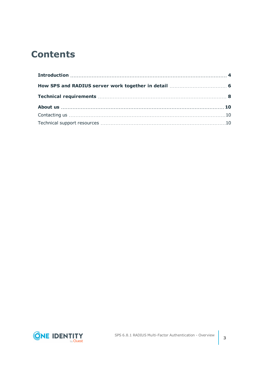## **Contents**

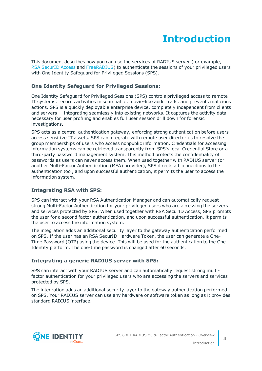## **Introduction**

<span id="page-3-0"></span>This document describes how you can use the services of RADIUS server (for example, RSA [SecurID](https://www.rsa.com/) Access and [FreeRADIUS](https://freeradius.org/)) to authenticate the sessions of your privileged users with One Identity Safeguard for Privileged Sessions (SPS).

### **One Identity Safeguard for Privileged Sessions:**

One Identity Safeguard for Privileged Sessions (SPS) controls privileged access to remote IT systems, records activities in searchable, movie-like audit trails, and prevents malicious actions. SPS is a quickly deployable enterprise device, completely independent from clients and servers — integrating seamlessly into existing networks. It captures the activity data necessary for user profiling and enables full user session drill down for forensic investigations.

SPS acts as a central authentication gateway, enforcing strong authentication before users access sensitive IT assets. SPS can integrate with remote user directories to resolve the group memberships of users who access nonpublic information. Credentials for accessing information systems can be retrieved transparently from SPS's local Credential Store or a third-party password management system. This method protects the confidentiality of passwords as users can never access them. When used together with RADIUS server (or another Multi-Factor Authentication (MFA) provider), SPS directs all connections to the authentication tool, and upon successful authentication, it permits the user to access the information system.

### **Integrating RSA with SPS:**

SPS can interact with your RSA Authentication Manager and can automatically request strong Multi-Factor Authentication for your privileged users who are accessing the servers and services protected by SPS. When used together with RSA SecurID Access, SPS prompts the user for a second factor authentication, and upon successful authentication, it permits the user to access the information system.

The integration adds an additional security layer to the gateway authentication performed on SPS. If the user has an RSA SecurID Hardware Token, the user can generate a One-Time Password (OTP) using the device. This will be used for the authentication to the One Identity platform. The one-time password is changed after 60 seconds.

### **Integrating a generic RADIUS server with SPS:**

SPS can interact with your RADIUS server and can automatically request strong multifactor authentication for your privileged users who are accessing the servers and services protected by SPS.

The integration adds an additional security layer to the gateway authentication performed on SPS. Your RADIUS server can use any hardware or software token as long as it provides standard RADIUS interface.

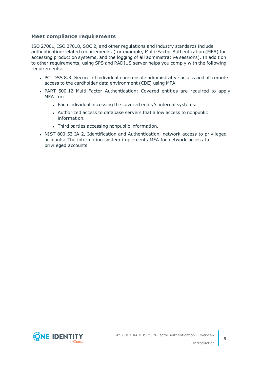### **Meet compliance requirements**

ISO 27001, ISO 27018, SOC 2, and other regulations and industry standards include authentication-related requirements, (for example, Multi-Factor Authentication (MFA) for accessing production systems, and the logging of all administrative sessions). In addition to other requirements, using SPS and RADIUS server helps you comply with the following requirements:

- PCI DSS 8.3: Secure all individual non-console administrative access and all remote access to the cardholder data environment (CDE) using MFA.
- PART 500.12 Multi-Factor Authentication: Covered entities are required to apply MFA for:
	- Each individual accessing the covered entity's internal systems.
	- Authorized access to database servers that allow access to nonpublic information.
	- Third parties accessing nonpublic information.
- NIST 800-53 IA-2, Identification and Authentication, network access to privileged accounts: The information system implements MFA for network access to privileged accounts.

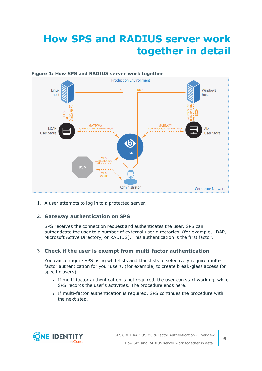## <span id="page-5-0"></span>**How SPS and RADIUS server work together in detail**



1. A user attempts to log in to a protected server.

### 2. **Gateway authentication on SPS**

SPS receives the connection request and authenticates the user. SPS can authenticate the user to a number of external user directories, (for example, LDAP, Microsoft Active Directory, or RADIUS). This authentication is the first factor.

#### 3. **Check if the user is exempt from multi-factor authentication**

You can configure SPS using whitelists and blacklists to selectively require multifactor authentication for your users, (for example, to create break-glass access for specific users).

- If multi-factor authentication is not required, the user can start working, while SPS records the user's activities. The procedure ends here.
- If multi-factor authentication is required, SPS continues the procedure with the next step.

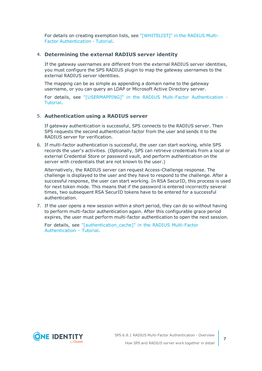For details on creating exemption lists, see ["\[WHITELIST\]"](https://support.oneidentity.com/technical-documents/safeguard-for-privileged-sessions/6.8.1/radius-multi-factor-authentication---tutorial/[whitelist]/) in the RADIUS Multi-Factor [Authentication](https://support.oneidentity.com/technical-documents/safeguard-for-privileged-sessions/6.8.1/radius-multi-factor-authentication---tutorial/[whitelist]/) - Tutorial.

#### 4. **Determining the external RADIUS server identity**

If the gateway usernames are different from the external RADIUS server identities, you must configure the SPS RADIUS plugin to map the gateway usernames to the external RADIUS server identities.

The mapping can be as simple as appending a domain name to the gateway username, or you can query an LDAP or Microsoft Active Directory server.

For details, see ["\[USERMAPPING\]"](https://support.oneidentity.com/technical-documents/safeguard-for-privileged-sessions/6.8.1/radius-multi-factor-authentication---tutorial/[usermapping]/) in the RADIUS Multi-Factor Authentication - [Tutorial.](https://support.oneidentity.com/technical-documents/safeguard-for-privileged-sessions/6.8.1/radius-multi-factor-authentication---tutorial/[usermapping]/)

#### 5. **Authentication using a RADIUS server**

If gateway authentication is successful, SPS connects to the RADIUS server. Then SPS requests the second authentication factor from the user and sends it to the RADIUS server for verification.

6. If multi-factor authentication is successful, the user can start working, while SPS records the user's activities. (Optionally, SPS can retrieve credentials from a local or external Credential Store or password vault, and perform authentication on the server with credentials that are not known to the user.)

Alternatively, the RADIUS server can request Access-Challenge response. The challenge is displayed to the user and they have to respond to the challenge. After a successful response, the user can start working. In RSA SecurID, this process is used for next token mode. This means that if the password is entered incorrectly several times, two subsequent RSA SecurID tokens have to be entered for a successful authentication.

7. If the user opens a new session within a short period, they can do so without having to perform multi-factor authentication again. After this configurable grace period expires, the user must perform multi-factor authentication to open the next session.

For details, see ["\[authentication\\_cache\]"](https://support.oneidentity.com/technical-documents/safeguard-for-privileged-sessions/6.8.1/radius-multi-factor-authentication---tutorial/[authentication_cache]/) in the RADIUS Multi-Factor [Authentication](https://support.oneidentity.com/technical-documents/safeguard-for-privileged-sessions/6.8.1/radius-multi-factor-authentication---tutorial/[authentication_cache]/) - Tutorial.

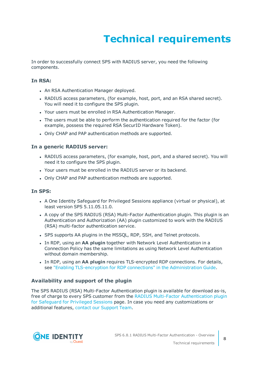# **Technical requirements**

<span id="page-7-0"></span>In order to successfully connect SPS with RADIUS server, you need the following components.

#### **In RSA:**

- An RSA Authentication Manager deployed.
- RADIUS access parameters, (for example, host, port, and an RSA shared secret). You will need it to configure the SPS plugin.
- Your users must be enrolled in RSA Authentication Manager.
- The users must be able to perform the authentication required for the factor (for example, possess the required RSA SecurID Hardware Token).
- Only CHAP and PAP authentication methods are supported.

#### **In a generic RADIUS server:**

- RADIUS access parameters, (for example, host, port, and a shared secret). You will need it to configure the SPS plugin.
- Your users must be enrolled in the RADIUS server or its backend.
- Only CHAP and PAP authentication methods are supported.

#### **In SPS:**

- A One Identity Safequard for Privileged Sessions appliance (virtual or physical), at least version SPS 5.11.05.11.0.
- A copy of the SPS RADIUS (RSA) Multi-Factor Authentication plugin. This plugin is an Authentication and Authorization (AA) plugin customized to work with the RADIUS (RSA) multi-factor authentication service.
- SPS supports AA plugins in the MSSQL, RDP, SSH, and Telnet protocols.
- **.** In RDP, using an AA plugin together with Network Level Authentication in a Connection Policy has the same limitations as using Network Level Authentication without domain membership.
- **In RDP, using an AA plugin requires TLS-encrypted RDP connections. For details,** see "Enabling [TLS-encryption](https://support.oneidentity.com/technical-documents/safeguard-for-privileged-sessions/6.8.1/administration-guide/rdp-specific-settings/enabling-tls-encryption-for-rdp-connections/) for RDP connections" in the Administration Guide.

#### **Availability and support of the plugin**

The SPS RADIUS (RSA) Multi-Factor Authentication plugin is available for download as-is, free of charge to every SPS customer from the RADIUS Multi-Factor [Authentication](https://github.com/OneIdentity/safeguard-sessions-plugin-radius-mfa/releases) plugin for [Safeguard](https://github.com/OneIdentity/safeguard-sessions-plugin-radius-mfa/releases) for Privileged Sessions page. In case you need any customizations or additional features, contact our [Support](https://support.oneidentity.com/one-identity-safeguard-for-privileged-sessions) Team.

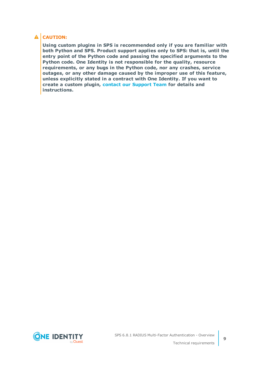## **A** CAUTION:

**Using custom plugins in SPS is recommended only if you are familiar with both Python and SPS. Product support applies only to SPS: that is, until the entry point of the Python code and passing the specified arguments to the Python code. One Identity is not responsible for the quality, resource requirements, or any bugs in the Python code, nor any crashes, service outages, or any other damage caused by the improper use of this feature, unless explicitly stated in a contract with One Identity. If you want to create a custom plugin, contact our [Support](https://support.oneidentity.com/one-identity-safeguard-for-privileged-sessions) Team for details and instructions.**